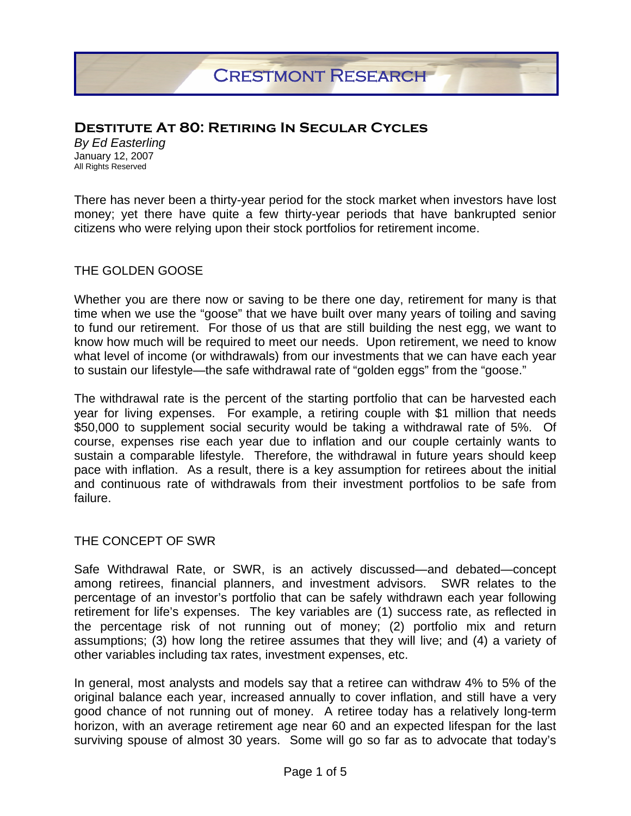# **Destitute At 80: Retiring In Secular Cycles**

*By Ed Easterling*  January 12, 2007 All Rights Reserved

There has never been a thirty-year period for the stock market when investors have lost money; yet there have quite a few thirty-year periods that have bankrupted senior citizens who were relying upon their stock portfolios for retirement income.

#### THE GOLDEN GOOSE

Whether you are there now or saving to be there one day, retirement for many is that time when we use the "goose" that we have built over many years of toiling and saving to fund our retirement. For those of us that are still building the nest egg, we want to know how much will be required to meet our needs. Upon retirement, we need to know what level of income (or withdrawals) from our investments that we can have each year to sustain our lifestyle—the safe withdrawal rate of "golden eggs" from the "goose."

The withdrawal rate is the percent of the starting portfolio that can be harvested each year for living expenses. For example, a retiring couple with \$1 million that needs \$50,000 to supplement social security would be taking a withdrawal rate of 5%. Of course, expenses rise each year due to inflation and our couple certainly wants to sustain a comparable lifestyle. Therefore, the withdrawal in future years should keep pace with inflation. As a result, there is a key assumption for retirees about the initial and continuous rate of withdrawals from their investment portfolios to be safe from failure.

#### THE CONCEPT OF SWR

Safe Withdrawal Rate, or SWR, is an actively discussed—and debated—concept among retirees, financial planners, and investment advisors. SWR relates to the percentage of an investor's portfolio that can be safely withdrawn each year following retirement for life's expenses. The key variables are (1) success rate, as reflected in the percentage risk of not running out of money; (2) portfolio mix and return assumptions; (3) how long the retiree assumes that they will live; and (4) a variety of other variables including tax rates, investment expenses, etc.

In general, most analysts and models say that a retiree can withdraw 4% to 5% of the original balance each year, increased annually to cover inflation, and still have a very good chance of not running out of money. A retiree today has a relatively long-term horizon, with an average retirement age near 60 and an expected lifespan for the last surviving spouse of almost 30 years. Some will go so far as to advocate that today's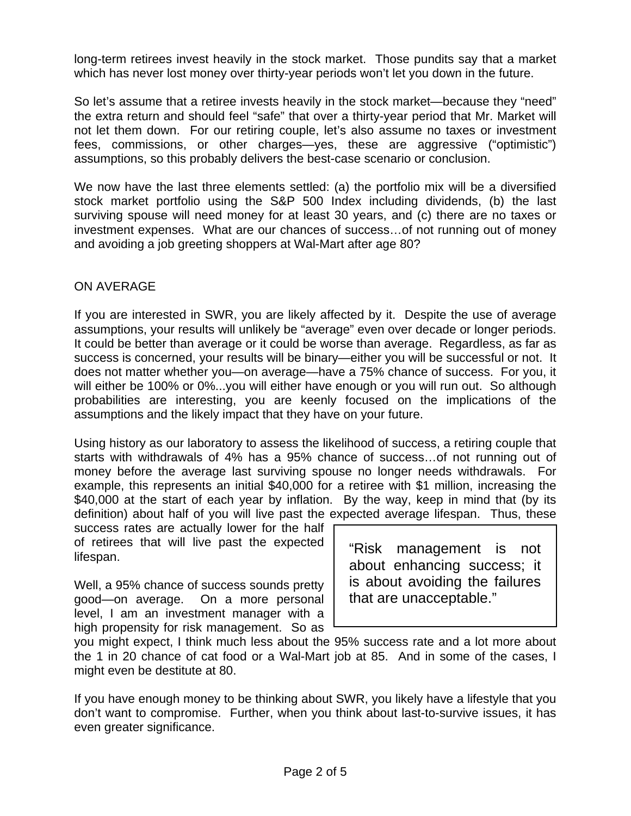long-term retirees invest heavily in the stock market. Those pundits say that a market which has never lost money over thirty-year periods won't let you down in the future.

So let's assume that a retiree invests heavily in the stock market—because they "need" the extra return and should feel "safe" that over a thirty-year period that Mr. Market will not let them down. For our retiring couple, let's also assume no taxes or investment fees, commissions, or other charges—yes, these are aggressive ("optimistic") assumptions, so this probably delivers the best-case scenario or conclusion.

We now have the last three elements settled: (a) the portfolio mix will be a diversified stock market portfolio using the S&P 500 Index including dividends, (b) the last surviving spouse will need money for at least 30 years, and (c) there are no taxes or investment expenses. What are our chances of success…of not running out of money and avoiding a job greeting shoppers at Wal-Mart after age 80?

## ON AVERAGE

If you are interested in SWR, you are likely affected by it. Despite the use of average assumptions, your results will unlikely be "average" even over decade or longer periods. It could be better than average or it could be worse than average. Regardless, as far as success is concerned, your results will be binary—either you will be successful or not. It does not matter whether you—on average—have a 75% chance of success. For you, it will either be 100% or 0%...you will either have enough or you will run out. So although probabilities are interesting, you are keenly focused on the implications of the assumptions and the likely impact that they have on your future.

Using history as our laboratory to assess the likelihood of success, a retiring couple that starts with withdrawals of 4% has a 95% chance of success…of not running out of money before the average last surviving spouse no longer needs withdrawals. For example, this represents an initial \$40,000 for a retiree with \$1 million, increasing the \$40,000 at the start of each year by inflation. By the way, keep in mind that (by its definition) about half of you will live past the expected average lifespan. Thus, these

success rates are actually lower for the half of retirees that will live past the expected lifespan.

Well, a 95% chance of success sounds pretty good—on average. On a more personal level, I am an investment manager with a high propensity for risk management. So as "Risk management is not about enhancing success; it is about avoiding the failures that are unacceptable."

you might expect, I think much less about the 95% success rate and a lot more about the 1 in 20 chance of cat food or a Wal-Mart job at 85. And in some of the cases, I might even be destitute at 80.

If you have enough money to be thinking about SWR, you likely have a lifestyle that you don't want to compromise. Further, when you think about last-to-survive issues, it has even greater significance.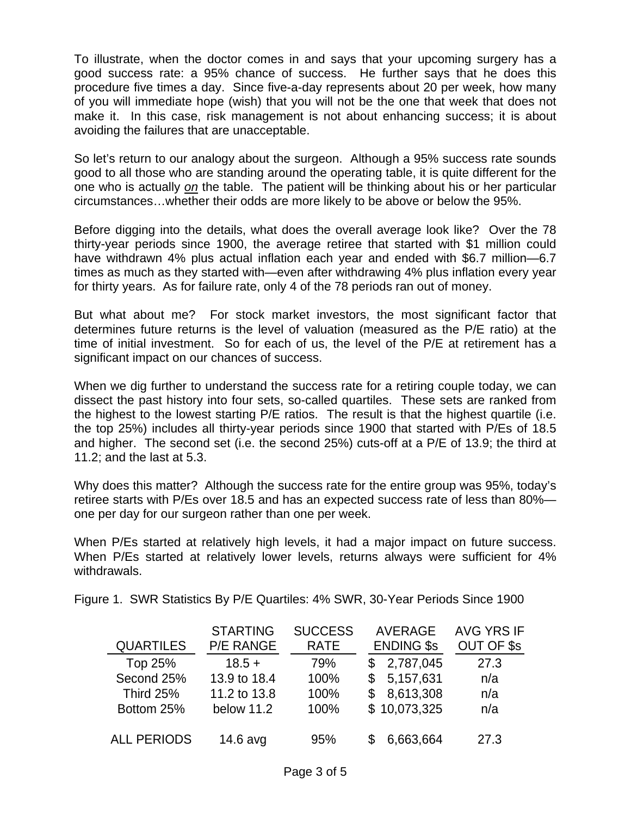To illustrate, when the doctor comes in and says that your upcoming surgery has a good success rate: a 95% chance of success. He further says that he does this procedure five times a day. Since five-a-day represents about 20 per week, how many of you will immediate hope (wish) that you will not be the one that week that does not make it. In this case, risk management is not about enhancing success; it is about avoiding the failures that are unacceptable.

So let's return to our analogy about the surgeon. Although a 95% success rate sounds good to all those who are standing around the operating table, it is quite different for the one who is actually *on* the table. The patient will be thinking about his or her particular circumstances…whether their odds are more likely to be above or below the 95%.

Before digging into the details, what does the overall average look like? Over the 78 thirty-year periods since 1900, the average retiree that started with \$1 million could have withdrawn 4% plus actual inflation each year and ended with \$6.7 million—6.7 times as much as they started with—even after withdrawing 4% plus inflation every year for thirty years. As for failure rate, only 4 of the 78 periods ran out of money.

But what about me? For stock market investors, the most significant factor that determines future returns is the level of valuation (measured as the P/E ratio) at the time of initial investment. So for each of us, the level of the P/E at retirement has a significant impact on our chances of success.

When we dig further to understand the success rate for a retiring couple today, we can dissect the past history into four sets, so-called quartiles. These sets are ranked from the highest to the lowest starting P/E ratios. The result is that the highest quartile (i.e. the top 25%) includes all thirty-year periods since 1900 that started with P/Es of 18.5 and higher. The second set (i.e. the second 25%) cuts-off at a P/E of 13.9; the third at 11.2; and the last at 5.3.

Why does this matter? Although the success rate for the entire group was 95%, today's retiree starts with P/Es over 18.5 and has an expected success rate of less than 80% one per day for our surgeon rather than one per week.

When P/Es started at relatively high levels, it had a major impact on future success. When P/Es started at relatively lower levels, returns always were sufficient for 4% withdrawals.

Figure 1. SWR Statistics By P/E Quartiles: 4% SWR, 30-Year Periods Since 1900

|                    | <b>STARTING</b>  | <b>SUCCESS</b> | AVERAGE           | <b>AVG YRS IF</b> |
|--------------------|------------------|----------------|-------------------|-------------------|
| <b>QUARTILES</b>   | <b>P/E RANGE</b> | <b>RATE</b>    | <b>ENDING \$s</b> | OUT OF \$s        |
| Top 25%            | $18.5 +$         | 79%            | 2,787,045<br>\$   | 27.3              |
| Second 25%         | 13.9 to 18.4     | 100%           | 5,157,631<br>S    | n/a               |
| <b>Third 25%</b>   | 11.2 to 13.8     | 100%           | 8,613,308<br>\$.  | n/a               |
| Bottom 25%         | below 11.2       | 100%           | \$10,073,325      | n/a               |
| <b>ALL PERIODS</b> | $14.6$ avg       | 95%            | 6,663,664         | 27.3              |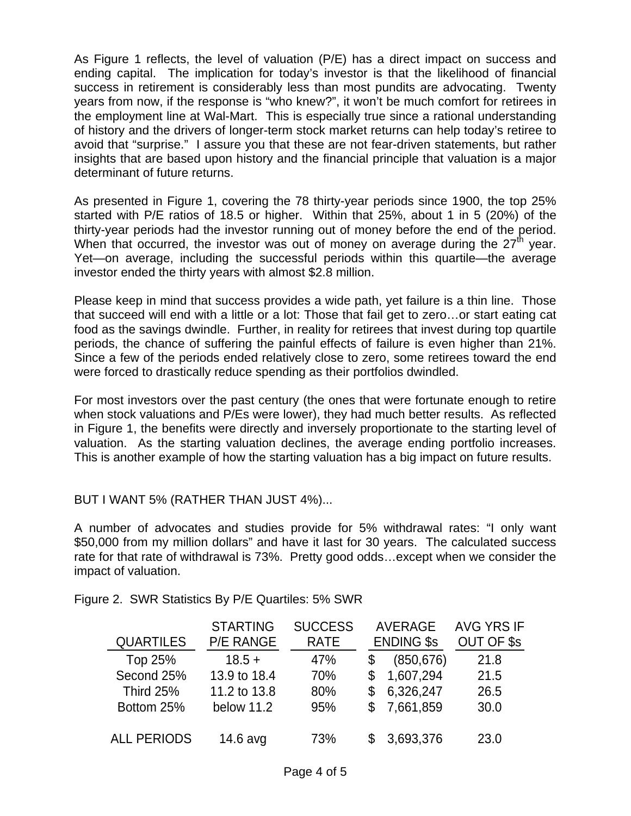As Figure 1 reflects, the level of valuation (P/E) has a direct impact on success and ending capital. The implication for today's investor is that the likelihood of financial success in retirement is considerably less than most pundits are advocating. Twenty years from now, if the response is "who knew?", it won't be much comfort for retirees in the employment line at Wal-Mart. This is especially true since a rational understanding of history and the drivers of longer-term stock market returns can help today's retiree to avoid that "surprise." I assure you that these are not fear-driven statements, but rather insights that are based upon history and the financial principle that valuation is a major determinant of future returns.

As presented in Figure 1, covering the 78 thirty-year periods since 1900, the top 25% started with P/E ratios of 18.5 or higher. Within that 25%, about 1 in 5 (20%) of the thirty-year periods had the investor running out of money before the end of the period. When that occurred, the investor was out of money on average during the  $27<sup>th</sup>$  year. Yet—on average, including the successful periods within this quartile—the average investor ended the thirty years with almost \$2.8 million.

Please keep in mind that success provides a wide path, yet failure is a thin line. Those that succeed will end with a little or a lot: Those that fail get to zero…or start eating cat food as the savings dwindle. Further, in reality for retirees that invest during top quartile periods, the chance of suffering the painful effects of failure is even higher than 21%. Since a few of the periods ended relatively close to zero, some retirees toward the end were forced to drastically reduce spending as their portfolios dwindled.

For most investors over the past century (the ones that were fortunate enough to retire when stock valuations and P/Es were lower), they had much better results. As reflected in Figure 1, the benefits were directly and inversely proportionate to the starting level of valuation. As the starting valuation declines, the average ending portfolio increases. This is another example of how the starting valuation has a big impact on future results.

## BUT I WANT 5% (RATHER THAN JUST 4%)...

A number of advocates and studies provide for 5% withdrawal rates: "I only want \$50,000 from my million dollars" and have it last for 30 years. The calculated success rate for that rate of withdrawal is 73%. Pretty good odds…except when we consider the impact of valuation.

Figure 2. SWR Statistics By P/E Quartiles: 5% SWR

|                    | <b>STARTING</b>  | <b>SUCCESS</b> | <b>AVERAGE</b><br><b>ENDING \$s</b> |            | <b>AVG YRS IF</b> |
|--------------------|------------------|----------------|-------------------------------------|------------|-------------------|
| <b>QUARTILES</b>   | <b>P/E RANGE</b> | <b>RATE</b>    |                                     |            | OUT OF \$s        |
| Top 25%            | $18.5 +$         | 47%            |                                     | (850, 676) | 21.8              |
| Second 25%         | 13.9 to 18.4     | 70%            |                                     | 1,607,294  | 21.5              |
| Third 25%          | 11.2 to 13.8     | 80%            | \$                                  | 6,326,247  | 26.5              |
| Bottom 25%         | below 11.2       | 95%            | \$.                                 | 7,661,859  | 30.0              |
| <b>ALL PERIODS</b> | 14.6 avg         | 73%            | \$                                  | 3,693,376  | 23.0              |